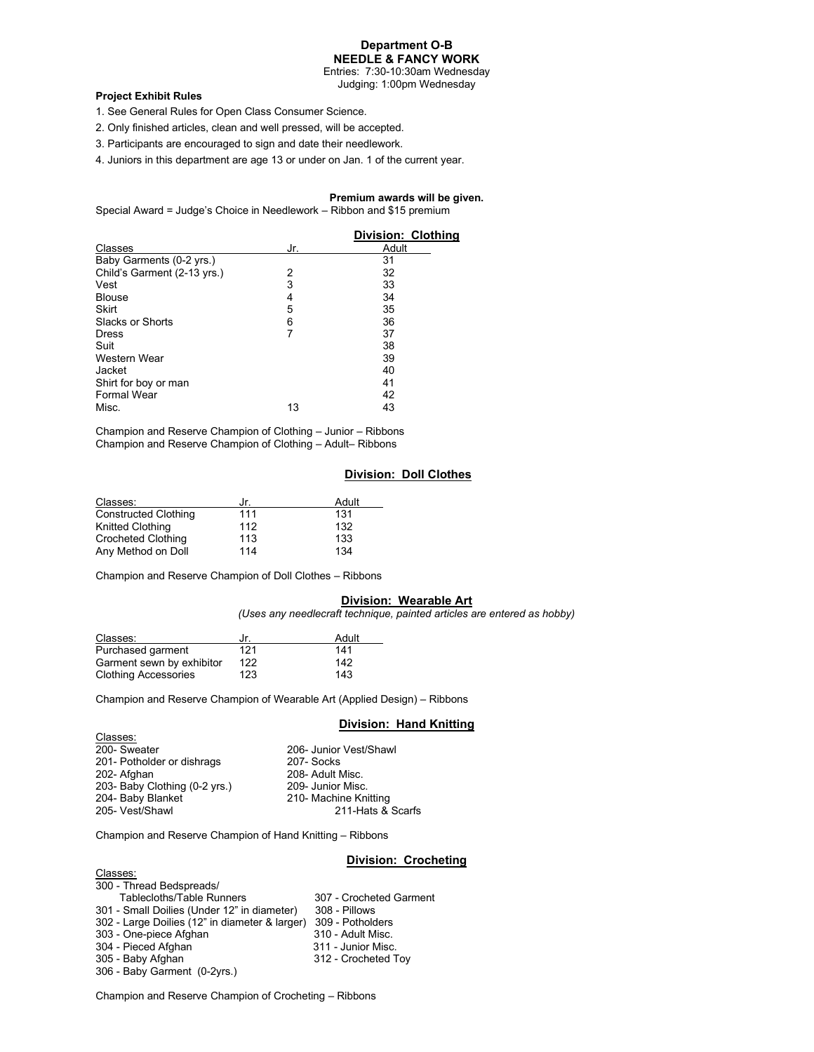# **Department O-B NEEDLE & FANCY WORK**

Entries: 7:30-10:30am Wednesday Judging: 1:00pm Wednesday

## **Project Exhibit Rules**

- 1. See General Rules for Open Class Consumer Science.
- 2. Only finished articles, clean and well pressed, will be accepted.
- 3. Participants are encouraged to sign and date their needlework.
- 4. Juniors in this department are age 13 or under on Jan. 1 of the current year.

# **Premium awards will be given.**

Special Award = Judge's Choice in Needlework – Ribbon and \$15 premium

|                             |     | <b>Division: Clothing</b> |
|-----------------------------|-----|---------------------------|
| Classes                     | Jr. | Adult                     |
| Baby Garments (0-2 yrs.)    |     | 31                        |
| Child's Garment (2-13 yrs.) | 2   | 32                        |
| Vest                        | 3   | 33                        |
| <b>Blouse</b>               | 4   | 34                        |
| Skirt                       | 5   | 35                        |
| Slacks or Shorts            | 6   | 36                        |
| <b>Dress</b>                |     | 37                        |
| Suit                        |     | 38                        |
| Western Wear                |     | 39                        |
| Jacket                      |     | 40                        |
| Shirt for boy or man        |     | 41                        |
| <b>Formal Wear</b>          |     | 42                        |
| Misc.                       | 13  | 43                        |

Champion and Reserve Champion of Clothing – Junior – Ribbons Champion and Reserve Champion of Clothing – Adult– Ribbons

# **Division: Doll Clothes**

| Classes:                    | Jr. | Adult |
|-----------------------------|-----|-------|
| <b>Constructed Clothing</b> | 111 | 131   |
| Knitted Clothing            | 112 | 132   |
| <b>Crocheted Clothing</b>   | 113 | 133   |
| Any Method on Doll          | 114 | 134   |

Champion and Reserve Champion of Doll Clothes – Ribbons

# **Division: Wearable Art**

*(Uses any needlecraft technique, painted articles are entered as hobby)*

| Classes:                    | .Ir | Adult |
|-----------------------------|-----|-------|
| Purchased garment           | 121 | 141   |
| Garment sewn by exhibitor   | 122 | 142   |
| <b>Clothing Accessories</b> | 123 | 143   |

Champion and Reserve Champion of Wearable Art (Applied Design) – Ribbons

# **Division: Hand Knitting**

| Classes:                      |                        |
|-------------------------------|------------------------|
| 200- Sweater                  | 206- Junior Vest/Shawl |
| 201- Potholder or dishrags    | 207-Socks              |
| 202- Afghan                   | 208- Adult Misc.       |
| 203- Baby Clothing (0-2 yrs.) | 209- Junior Misc.      |
| 204- Baby Blanket             | 210- Machine Knitting  |
| 205- Vest/Shawl               | 211-Hats & Scarfs      |
|                               |                        |

Champion and Reserve Champion of Hand Knitting – Ribbons

## **Division: Crocheting**

| Classes:                                       |                         |
|------------------------------------------------|-------------------------|
| 300 - Thread Bedspreads/                       |                         |
| <b>Tablecloths/Table Runners</b>               | 307 - Crocheted Garment |
| 301 - Small Doilies (Under 12" in diameter)    | 308 - Pillows           |
| 302 - Large Doilies (12" in diameter & larger) | 309 - Potholders        |
| 303 - One-piece Afghan                         | 310 - Adult Misc.       |
| 304 - Pieced Afghan                            | 311 - Junior Misc.      |
| 305 - Baby Afghan                              | 312 - Crocheted Toy     |
| 306 - Baby Garment (0-2yrs.)                   |                         |

Champion and Reserve Champion of Crocheting – Ribbons